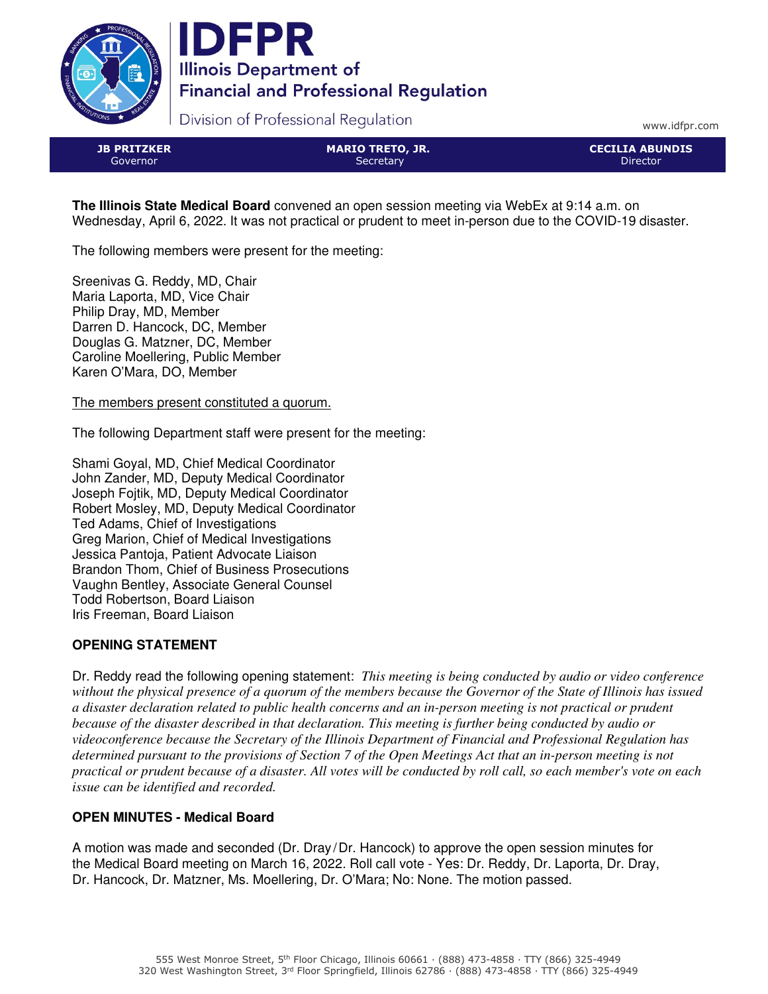



Division of Professional Regulation

www.idfpr.com

JB PRITZKER Governor

MARIO TRETO, JR. **Secretary** 

CECILIA ABUNDIS Director

**The Illinois State Medical Board** convened an open session meeting via WebEx at 9:14 a.m. on Wednesday, April 6, 2022. It was not practical or prudent to meet in-person due to the COVID-19 disaster.

The following members were present for the meeting:

Sreenivas G. Reddy, MD, Chair Maria Laporta, MD, Vice Chair Philip Dray, MD, Member Darren D. Hancock, DC, Member Douglas G. Matzner, DC, Member Caroline Moellering, Public Member Karen O'Mara, DO, Member

The members present constituted a quorum.

The following Department staff were present for the meeting:

Shami Goyal, MD, Chief Medical Coordinator John Zander, MD, Deputy Medical Coordinator Joseph Fojtik, MD, Deputy Medical Coordinator Robert Mosley, MD, Deputy Medical Coordinator Ted Adams, Chief of Investigations Greg Marion, Chief of Medical Investigations Jessica Pantoja, Patient Advocate Liaison Brandon Thom, Chief of Business Prosecutions Vaughn Bentley, Associate General Counsel Todd Robertson, Board Liaison Iris Freeman, Board Liaison

# **OPENING STATEMENT**

Dr. Reddy read the following opening statement: *This meeting is being conducted by audio or video conference without the physical presence of a quorum of the members because the Governor of the State of Illinois has issued a disaster declaration related to public health concerns and an in-person meeting is not practical or prudent because of the disaster described in that declaration. This meeting is further being conducted by audio or videoconference because the Secretary of the Illinois Department of Financial and Professional Regulation has determined pursuant to the provisions of Section 7 of the Open Meetings Act that an in-person meeting is not practical or prudent because of a disaster. All votes will be conducted by roll call, so each member's vote on each issue can be identified and recorded.*

### **OPEN MINUTES - Medical Board**

A motion was made and seconded (Dr. Dray /Dr. Hancock) to approve the open session minutes for the Medical Board meeting on March 16, 2022. Roll call vote - Yes: Dr. Reddy, Dr. Laporta, Dr. Dray, Dr. Hancock, Dr. Matzner, Ms. Moellering, Dr. O'Mara; No: None. The motion passed.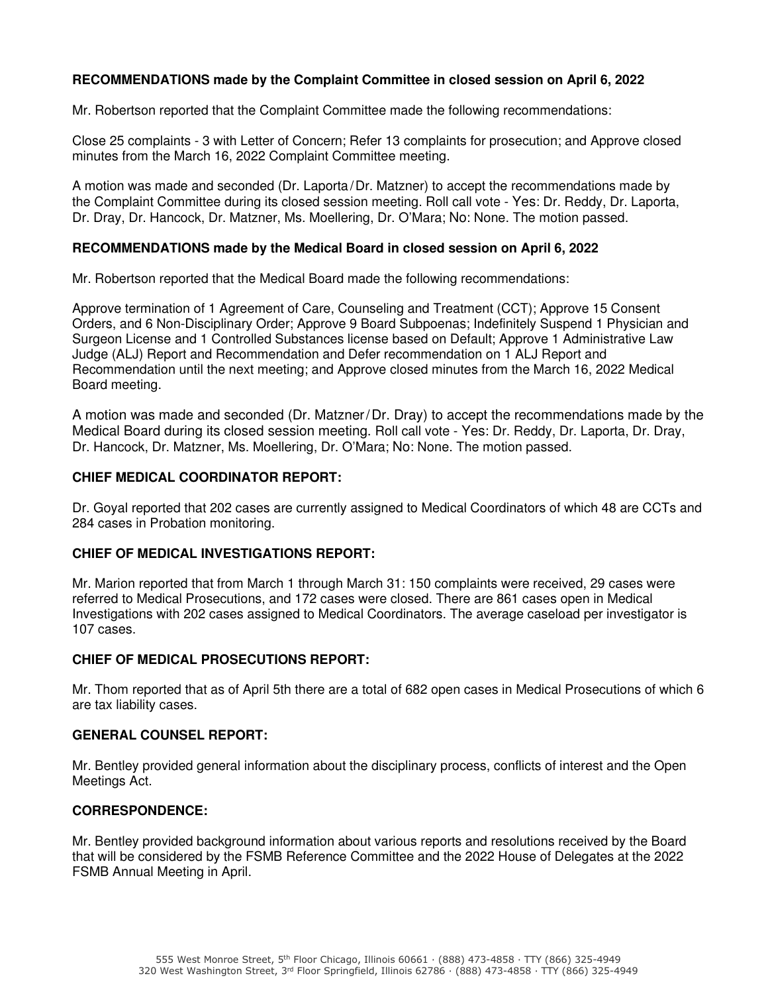## **RECOMMENDATIONS made by the Complaint Committee in closed session on April 6, 2022**

Mr. Robertson reported that the Complaint Committee made the following recommendations:

Close 25 complaints - 3 with Letter of Concern; Refer 13 complaints for prosecution; and Approve closed minutes from the March 16, 2022 Complaint Committee meeting.

A motion was made and seconded (Dr. Laporta/Dr. Matzner) to accept the recommendations made by the Complaint Committee during its closed session meeting. Roll call vote - Yes: Dr. Reddy, Dr. Laporta, Dr. Dray, Dr. Hancock, Dr. Matzner, Ms. Moellering, Dr. O'Mara; No: None. The motion passed.

### **RECOMMENDATIONS made by the Medical Board in closed session on April 6, 2022**

Mr. Robertson reported that the Medical Board made the following recommendations:

Approve termination of 1 Agreement of Care, Counseling and Treatment (CCT); Approve 15 Consent Orders, and 6 Non-Disciplinary Order; Approve 9 Board Subpoenas; Indefinitely Suspend 1 Physician and Surgeon License and 1 Controlled Substances license based on Default; Approve 1 Administrative Law Judge (ALJ) Report and Recommendation and Defer recommendation on 1 ALJ Report and Recommendation until the next meeting; and Approve closed minutes from the March 16, 2022 Medical Board meeting.

A motion was made and seconded (Dr. Matzner/Dr. Dray) to accept the recommendations made by the Medical Board during its closed session meeting. Roll call vote - Yes: Dr. Reddy, Dr. Laporta, Dr. Dray, Dr. Hancock, Dr. Matzner, Ms. Moellering, Dr. O'Mara; No: None. The motion passed.

### **CHIEF MEDICAL COORDINATOR REPORT:**

Dr. Goyal reported that 202 cases are currently assigned to Medical Coordinators of which 48 are CCTs and 284 cases in Probation monitoring.

#### **CHIEF OF MEDICAL INVESTIGATIONS REPORT:**

Mr. Marion reported that from March 1 through March 31: 150 complaints were received, 29 cases were referred to Medical Prosecutions, and 172 cases were closed. There are 861 cases open in Medical Investigations with 202 cases assigned to Medical Coordinators. The average caseload per investigator is 107 cases.

### **CHIEF OF MEDICAL PROSECUTIONS REPORT:**

Mr. Thom reported that as of April 5th there are a total of 682 open cases in Medical Prosecutions of which 6 are tax liability cases.

#### **GENERAL COUNSEL REPORT:**

Mr. Bentley provided general information about the disciplinary process, conflicts of interest and the Open Meetings Act.

### **CORRESPONDENCE:**

Mr. Bentley provided background information about various reports and resolutions received by the Board that will be considered by the FSMB Reference Committee and the 2022 House of Delegates at the 2022 FSMB Annual Meeting in April.